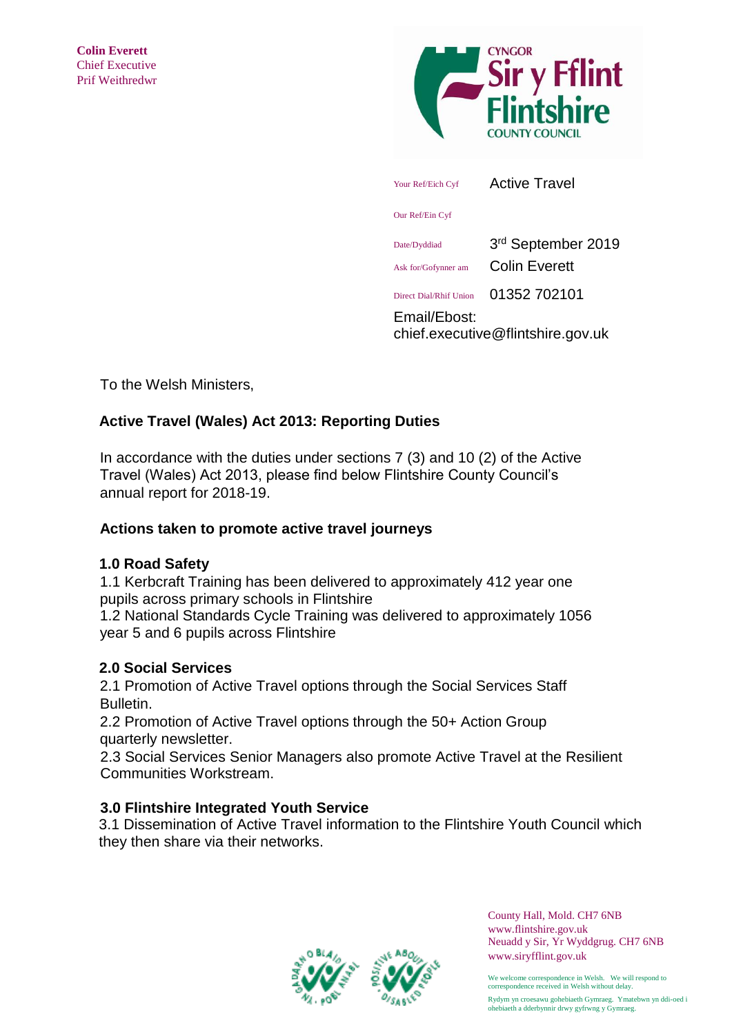

chief.executive@flintshire.gov.uk

To the Welsh Ministers,

# **Active Travel (Wales) Act 2013: Reporting Duties**

In accordance with the duties under sections 7 (3) and 10 (2) of the Active Travel (Wales) Act 2013, please find below Flintshire County Council's annual report for 2018-19.

## **Actions taken to promote active travel journeys**

# **1.0 Road Safety**

1.1 Kerbcraft Training has been delivered to approximately 412 year one pupils across primary schools in Flintshire

1.2 National Standards Cycle Training was delivered to approximately 1056 year 5 and 6 pupils across Flintshire

## **2.0 Social Services**

2.1 Promotion of Active Travel options through the Social Services Staff Bulletin.

2.2 Promotion of Active Travel options through the 50+ Action Group quarterly newsletter.

 2.3 Social Services Senior Managers also promote Active Travel at the Resilient Communities Workstream.

# **3.0 Flintshire Integrated Youth Service**

3.1 Dissemination of Active Travel information to the Flintshire Youth Council which they then share via their networks.



County Hall, Mold. CH7 6NB <www.flintshire.gov.uk> Neuadd y Sir, Yr Wyddgrug. CH7 6NB [www.siryfflint.gov.uk](http://www.siryfflint.gov.uk/) 

We welcome correspondence in Welsh. We will respond to correspondence received in Welsh without delay. Rydym yn croesawu gohebiaeth Gymraeg. Ymatebwn yn ddi-oed i ohebiaeth a dderbynnir drwy gyfrwng y Gymraeg.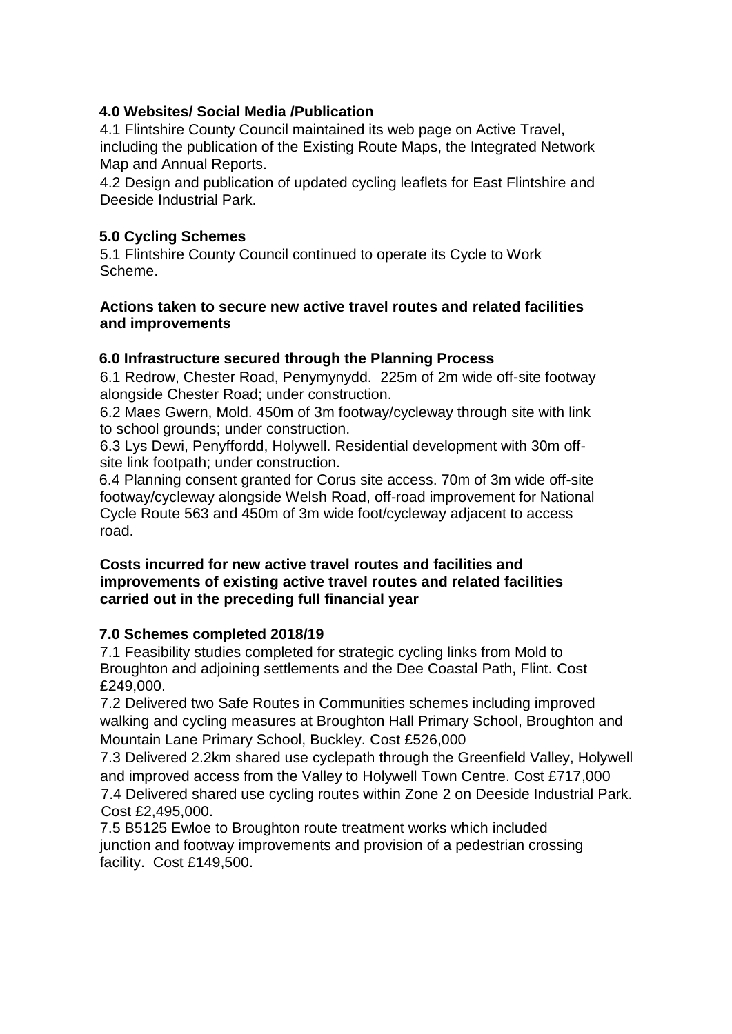## **4.0 Websites/ Social Media /Publication**

4.1 Flintshire County Council maintained its web page on Active Travel, including the publication of the Existing Route Maps, the Integrated Network Map and Annual Reports.

4.2 Design and publication of updated cycling leaflets for East Flintshire and Deeside Industrial Park.

## **5.0 Cycling Schemes**

5.1 Flintshire County Council continued to operate its Cycle to Work Scheme.

### **Actions taken to secure new active travel routes and related facilities and improvements**

## **6.0 Infrastructure secured through the Planning Process**

6.1 Redrow, Chester Road, Penymynydd. 225m of 2m wide off-site footway alongside Chester Road; under construction.

6.2 Maes Gwern, Mold. 450m of 3m footway/cycleway through site with link to school grounds; under construction.

6.3 Lys Dewi, Penyffordd, Holywell. Residential development with 30m offsite link footpath; under construction.

6.4 Planning consent granted for Corus site access. 70m of 3m wide off-site footway/cycleway alongside Welsh Road, off-road improvement for National Cycle Route 563 and 450m of 3m wide foot/cycleway adjacent to access road.

#### **Costs incurred for new active travel routes and facilities and improvements of existing active travel routes and related facilities carried out in the preceding full financial year**

## **7.0 Schemes completed 2018/19**

7.1 Feasibility studies completed for strategic cycling links from Mold to Broughton and adjoining settlements and the Dee Coastal Path, Flint. Cost £249,000.

7.2 Delivered two Safe Routes in Communities schemes including improved walking and cycling measures at Broughton Hall Primary School, Broughton and Mountain Lane Primary School, Buckley. Cost £526,000

7.3 Delivered 2.2km shared use cyclepath through the Greenfield Valley, Holywell and improved access from the Valley to Holywell Town Centre. Cost £717,000 7.4 Delivered shared use cycling routes within Zone 2 on Deeside Industrial Park. Cost £2,495,000.

7.5 B5125 Ewloe to Broughton route treatment works which included junction and footway improvements and provision of a pedestrian crossing facility. Cost £149,500.